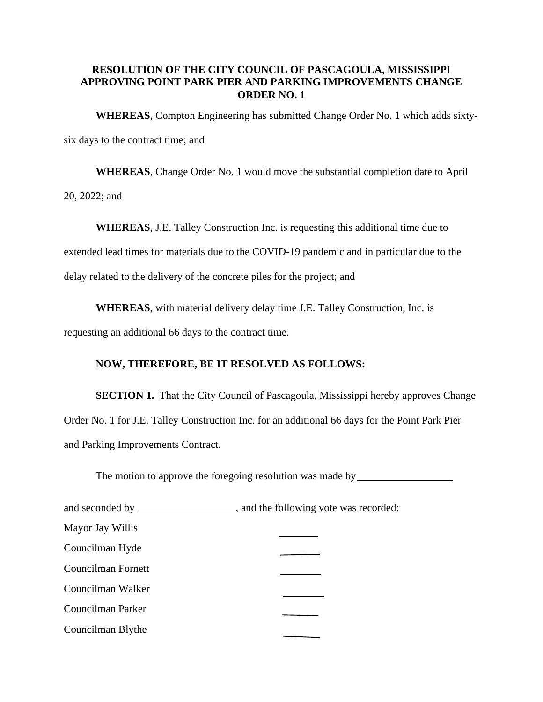## **RESOLUTION OF THE CITY COUNCIL OF PASCAGOULA, MISSISSIPPI APPROVING POINT PARK PIER AND PARKING IMPROVEMENTS CHANGE ORDER NO. 1**

**WHEREAS**, Compton Engineering has submitted Change Order No. 1 which adds sixty-

six days to the contract time; and

**WHEREAS**, Change Order No. 1 would move the substantial completion date to April

20, 2022; and

**WHEREAS**, J.E. Talley Construction Inc. is requesting this additional time due to extended lead times for materials due to the COVID-19 pandemic and in particular due to the delay related to the delivery of the concrete piles for the project; and

**WHEREAS**, with material delivery delay time J.E. Talley Construction, Inc. is

requesting an additional 66 days to the contract time.

## **NOW, THEREFORE, BE IT RESOLVED AS FOLLOWS:**

**SECTION 1.** That the City Council of Pascagoula, Mississippi hereby approves Change Order No. 1 for J.E. Talley Construction Inc. for an additional 66 days for the Point Park Pier and Parking Improvements Contract.

The motion to approve the foregoing resolution was made by

| Mayor Jay Willis   |  |
|--------------------|--|
| Councilman Hyde    |  |
| Councilman Fornett |  |
| Councilman Walker  |  |
| Councilman Parker  |  |
| Councilman Blythe  |  |